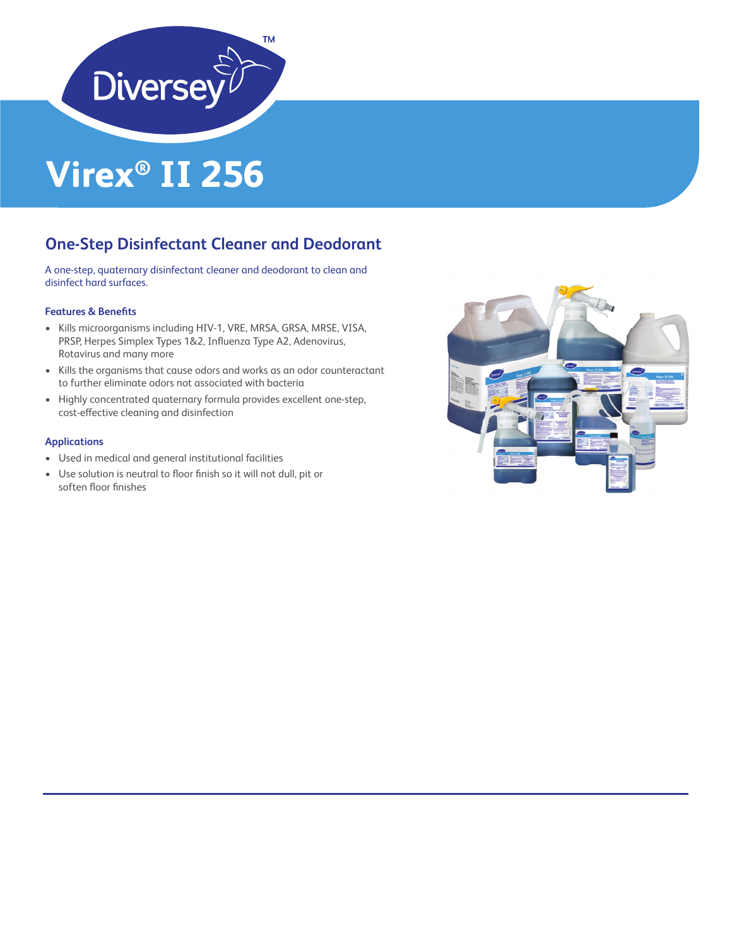

# **Virex® II 256**

### **One-Step Disinfectant Cleaner and Deodorant**

A one-step, quaternary disinfectant cleaner and deodorant to clean and disinfect hard surfaces.

#### **Features & Benefits**

- Kills microorganisms including HIV-1, VRE, MRSA, GRSA, MRSE, VISA, PRSP, Herpes Simplex Types 1&2, Influenza Type A2, Adenovirus, Rotavirus and many more
- Kills the organisms that cause odors and works as an odor counteractant to further eliminate odors not associated with bacteria
- Highly concentrated quaternary formula provides excellent one-step, cost-effective cleaning and disinfection

#### **Applications**

- Used in medical and general institutional facilities
- Use solution is neutral to floor finish so it will not dull, pit or soften floor finishes